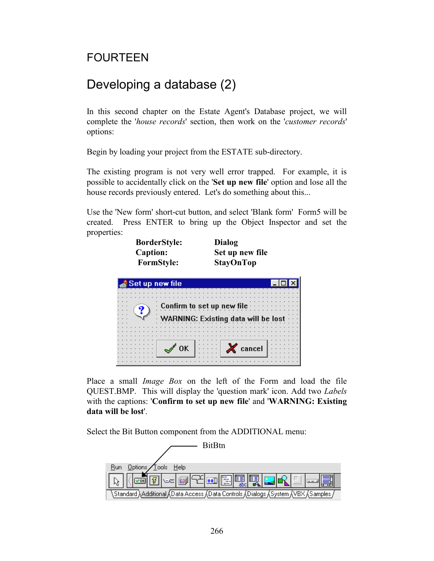## FOURTEEN

# Developing a database (2)

In this second chapter on the Estate Agent's Database project, we will complete the '*house records*' section, then work on the '*customer records*' options:

Begin by loading your project from the ESTATE sub-directory.

The existing program is not very well error trapped. For example, it is possible to accidentally click on the '**Set up new file**' option and lose all the house records previously entered. Let's do something about this...

Use the 'New form' short-cut button, and select 'Blank form' Form5 will be created. Press ENTER to bring up the Object Inspector and set the properties:

 $\vert x \vert$ 

| <b>BorderStyle:</b><br><b>Caption:</b><br><b>FormStyle:</b> | Dialog<br>Set up new file<br><b>StayOnTop</b> |
|-------------------------------------------------------------|-----------------------------------------------|
| Set up new file                                             |                                               |
|                                                             |                                               |
|                                                             |                                               |



Place a small *Image Box* on the left of the Form and load the file QUEST.BMP. This will display the 'question mark' icon. Add two *Labels*  with the captions: '**Confirm to set up new file**' and '**WARNING: Existing data will be lost**'.

Select the Bit Button component from the ADDITIONAL menu:

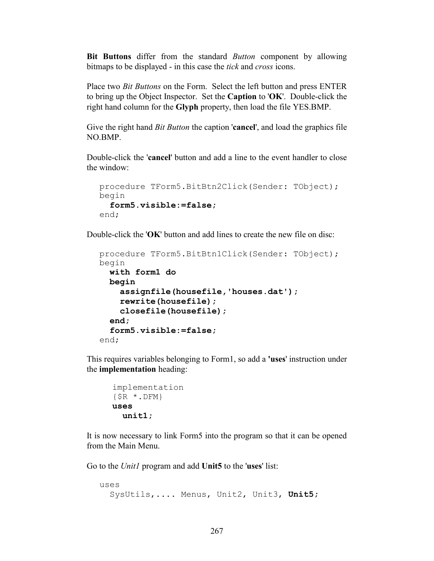**Bit Buttons** differ from the standard *Button* component by allowing bitmaps to be displayed - in this case the *tick* and *cross* icons.

Place two *Bit Buttons* on the Form. Select the left button and press ENTER to bring up the Object Inspector. Set the **Caption** to '**OK**'. Double-click the right hand column for the **Glyph** property, then load the file YES.BMP.

Give the right hand *Bit Button* the caption '**cancel**', and load the graphics file NO.BMP.

Double-click the '**cancel**' button and add a line to the event handler to close the window:

```
procedure TForm5.BitBtn2Click(Sender: TObject);
begin
   form5.visible:=false;
end;
```
Double-click the '**OK**' button and add lines to create the new file on disc:

```
procedure TForm5.BitBtn1Click(Sender: TObject);
begin
  with form1 do
   begin
     assignfile(housefile,'houses.dat');
     rewrite(housefile);
     closefile(housefile);
   end;
   form5.visible:=false;
end;
```
This requires variables belonging to Form1, so add a **'uses**' instruction under the **implementation** heading:

```
 implementation
{$R *.DFM}
uses
   unit1;
```
It is now necessary to link Form5 into the program so that it can be opened from the Main Menu.

Go to the *Unit1* program and add **Unit5** to the '**uses**' list:

```
uses
   SysUtils,.... Menus, Unit2, Unit3, Unit5;
```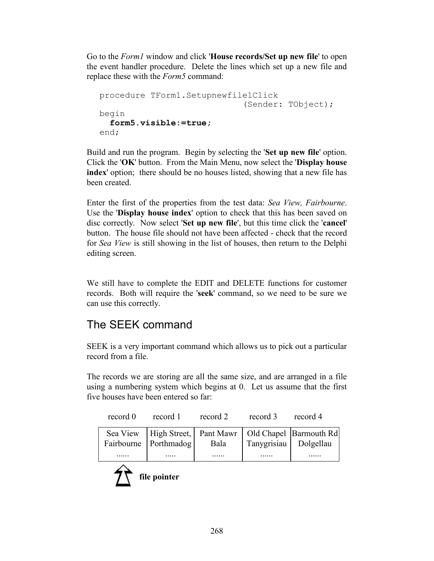Go to the *Form1* window and click '**House records/Set up new file**' to open the event handler procedure. Delete the lines which set up a new file and replace these with the *Form5* command:

```
procedure TForm1.Setupnewfile1Click
                               (Sender: TObject);
begin
   form5.visible:=true;
end;
```
Build and run the program. Begin by selecting the '**Set up new file**' option. Click the '**OK**' button. From the Main Menu, now select the '**Display house index**' option; there should be no houses listed, showing that a new file has been created.

Enter the first of the properties from the test data: *Sea View, Fairbourne*. Use the '**Display house index**' option to check that this has been saved on disc correctly. Now select '**Set up new file**', but this time click the '**cancel**' button. The house file should not have been affected - check that the record for *Sea View* is still showing in the list of houses, then return to the Delphi editing screen.

We still have to complete the EDIT and DELETE functions for customer records. Both will require the '**seek**' command, so we need to be sure we can use this correctly.

# The SEEK command

SEEK is a very important command which allows us to pick out a particular record from a file.

The records we are storing are all the same size, and are arranged in a file using a numbering system which begins at 0. Let us assume that the first five houses have been entered so far:

| record 0 | record 1              | record 2 | record 3              | record 4                                                       |
|----------|-----------------------|----------|-----------------------|----------------------------------------------------------------|
|          | Fairbourne Porthmadog | Bala     | Tanygrisiau Dolgellau | Sea View   High Street,   Pant Mawr   Old Chapel   Barmouth Rd |
| .        | .                     | .        |                       | .                                                              |

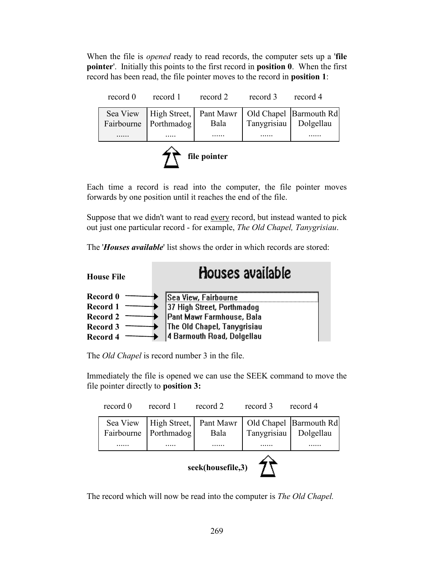When the file is *opened* ready to read records, the computer sets up a '**file pointer**'. Initially this points to the first record in **position 0**. When the first record has been read, the file pointer moves to the record in **position 1**:

| record 0 | record 1              | record 2 | record 3              | record 4                                                       |
|----------|-----------------------|----------|-----------------------|----------------------------------------------------------------|
|          | Fairbourne Porthmadog | Bala     | Tanygrisiau Dolgellau | Sea View   High Street,   Pant Mawr   Old Chapel   Barmouth Rd |
|          |                       |          |                       |                                                                |
|          |                       |          |                       |                                                                |



Each time a record is read into the computer, the file pointer moves forwards by one position until it reaches the end of the file.

Suppose that we didn't want to read every record, but instead wanted to pick out just one particular record - for example, *The Old Chapel, Tanygrisiau*.

The '*Houses available*' list shows the order in which records are stored:



The *Old Chapel* is record number 3 in the file.

◆

**Record 3 Record 4**

Immediately the file is opened we can use the SEEK command to move the file pointer directly to **position 3:**

The Old Chapel, Tanygrisiau 4 Barmouth Road, Dolgellau

| record 0          | record 1              | record 2 | record 3                | record 4                                                       |
|-------------------|-----------------------|----------|-------------------------|----------------------------------------------------------------|
|                   | Fairbourne Porthmadog | Bala     | Tanygrisiau   Dolgellau | Sea View   High Street,   Pant Mawr   Old Chapel   Barmouth Rd |
|                   |                       |          |                         |                                                                |
| seek(housefile,3) |                       |          |                         |                                                                |

The record which will now be read into the computer is *The Old Chapel.*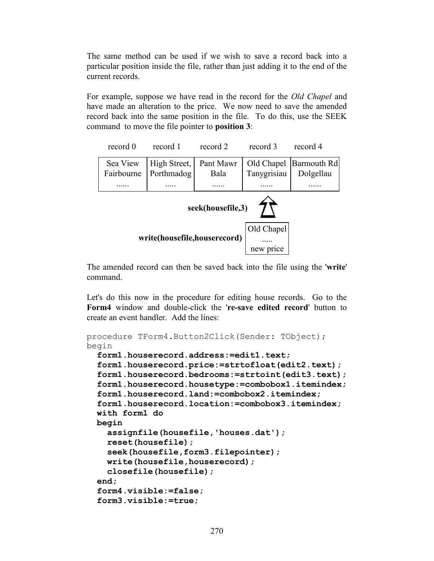The same method can be used if we wish to save a record back into a particular position inside the file, rather than just adding it to the end of the current records.

For example, suppose we have read in the record for the *Old Chapel* and have made an alteration to the price. We now need to save the amended record back into the same position in the file. To do this, use the SEEK command to move the file pointer to **position 3**:

| record 0                                   | record 1     | record 2  | record 3    | record 4    |  |
|--------------------------------------------|--------------|-----------|-------------|-------------|--|
| Sea View                                   | High Street, | Pant Mawr | Old Chapel  | Barmouth Rd |  |
| Fairbourne                                 | Porthmadog   | Bala      | Tanygrisiau | Dolgellau   |  |
| seek(housefile,3)                          |              |           |             |             |  |
| Old Chapel<br>write(housefile,houserecord) |              |           |             |             |  |
|                                            |              |           | new price   |             |  |

The amended record can then be saved back into the file using the '**write**' command.

Let's do this now in the procedure for editing house records. Go to the **Form4** window and double-click the '**re-save edited record**' button to create an event handler. Add the lines:

```
procedure TForm4.Button2Click(Sender: TObject);
begin
   form1.houserecord.address:=edit1.text;
   form1.houserecord.price:=strtofloat(edit2.text);
   form1.houserecord.bedrooms:=strtoint(edit3.text);
   form1.houserecord.housetype:=combobox1.itemindex;
   form1.houserecord.land:=combobox2.itemindex;
   form1.houserecord.location:=combobox3.itemindex;
   with form1 do
   begin
     assignfile(housefile,'houses.dat');
     reset(housefile);
     seek(housefile,form3.filepointer);
     write(housefile,houserecord);
     closefile(housefile);
   end;
   form4.visible:=false;
   form3.visible:=true;
```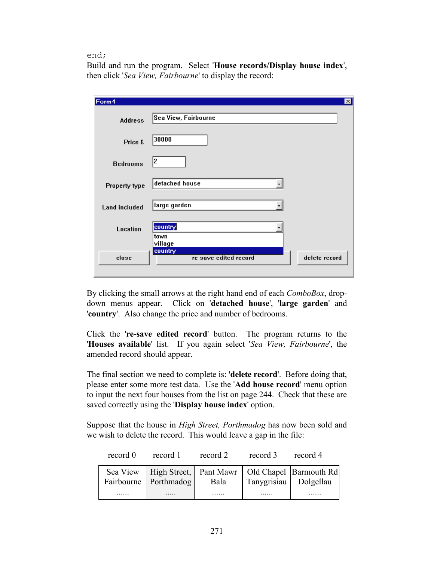#### end;

Build and run the program. Select '**House records/Display house index**', then click '*Sea View, Fairbourne*' to display the record:

| Form4                |                                  | $\vert x \vert$ |
|----------------------|----------------------------------|-----------------|
| <b>Address</b>       | Sea View, Fairbourne             |                 |
| Price £              | 38000                            |                 |
| <b>Bedrooms</b>      | 12                               |                 |
| Property type        | detached house                   |                 |
| <b>Land included</b> | large garden                     |                 |
| Location             | country<br>town<br>village       |                 |
| close                | country<br>re-save edited record | delete record   |

By clicking the small arrows at the right hand end of each *ComboBox*, dropdown menus appear. Click on '**detached house**', '**large garden**' and '**country**'. Also change the price and number of bedrooms.

Click the '**re-save edited record**' button. The program returns to the '**Houses available**' list. If you again select '*Sea View, Fairbourne*', the amended record should appear.

The final section we need to complete is: '**delete record**'. Before doing that, please enter some more test data. Use the '**Add house record**' menu option to input the next four houses from the list on page 244. Check that these are saved correctly using the '**Display house index**' option.

Suppose that the house in *High Street, Porthmadog* has now been sold and we wish to delete the record. This would leave a gap in the file:

| record 0 | record 1 | record 2 | record 3              | record 4                                                                                                           |
|----------|----------|----------|-----------------------|--------------------------------------------------------------------------------------------------------------------|
|          |          |          | Tanygrisiau Dolgellau | Sea View High Street, Pant Mawr   Old Chapel Barmouth Rd<br>Fairbourne Porthmadog   Bala   Tanygrisiau   Dolgellau |
|          |          | .        | .                     |                                                                                                                    |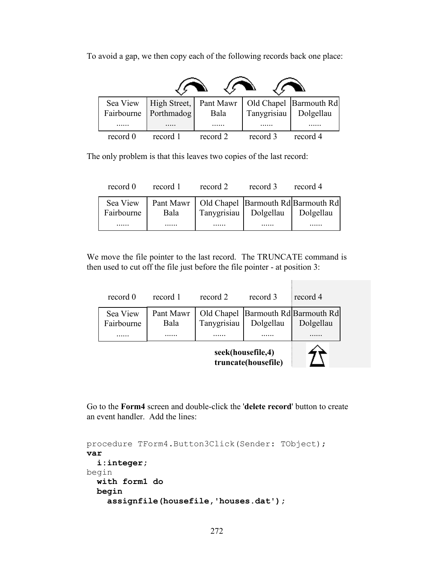record 0 record 1 record 2 record 3 record 4 Sea View Fairbourne ...... High Street, Porthmadog ..... Pant Mawr Bala ...... Old Chapel Barmouth Rd Tanygrisiau ...... Dolgellau ......

To avoid a gap, we then copy each of the following records back one place:

The only problem is that this leaves two copies of the last record:

| record 0               | record 1 | record 2 | record 3                            | record 4                                           |
|------------------------|----------|----------|-------------------------------------|----------------------------------------------------|
| Sea View<br>Fairbourne | Bala     |          | Tanygrisiau   Dolgellau   Dolgellau | Pant Mawr   Old Chapel   Barmouth Rd   Barmouth Rd |
| .                      | .        | .        | .                                   |                                                    |

We move the file pointer to the last record. The TRUNCATE command is then used to cut off the file just before the file pointer - at position 3:

| record 0               | record 1          | record 2                                 | record 3  | record 4                                            |  |
|------------------------|-------------------|------------------------------------------|-----------|-----------------------------------------------------|--|
| Sea View<br>Fairbourne | Pant Mawr<br>Bala | Tanygrisiau                              | Dolgellau | Old Chapel   Barmouth Rd  Barmouth Rd <br>Dolgellau |  |
|                        |                   |                                          |           |                                                     |  |
|                        |                   | seek(housefile,4)<br>truncate(housefile) |           |                                                     |  |

 $\mathbb{R}^n$ 

Go to the **Form4** screen and double-click the '**delete record**' button to create an event handler. Add the lines:

```
procedure TForm4.Button3Click(Sender: TObject);
var
   i:integer;
begin
 with form1 do
   begin
     assignfile(housefile,'houses.dat');
```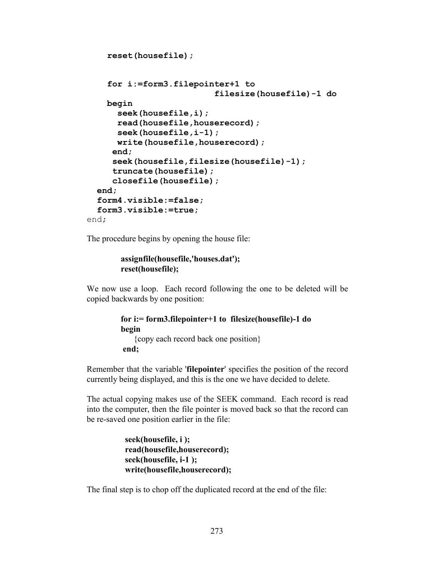```
 reset(housefile);
     for i:=form3.filepointer+1 to
                            filesize(housefile)-1 do
     begin
       seek(housefile,i);
       read(housefile,houserecord);
       seek(housefile,i-1);
       write(housefile,houserecord);
      end;
      seek(housefile,filesize(housefile)-1);
      truncate(housefile);
      closefile(housefile);
   end;
   form4.visible:=false;
   form3.visible:=true;
end;
```
The procedure begins by opening the house file:

```
 assignfile(housefile,'houses.dat');
 reset(housefile);
```
We now use a loop. Each record following the one to be deleted will be copied backwards by one position:

```
 for i:= form3.filepointer+1 to filesize(housefile)-1 do
 begin
     {copy each record back one position}
 end;
```
Remember that the variable '**filepointer**' specifies the position of the record currently being displayed, and this is the one we have decided to delete.

The actual copying makes use of the SEEK command. Each record is read into the computer, then the file pointer is moved back so that the record can be re-saved one position earlier in the file:

> **seek(housefile, i ); read(housefile,houserecord); seek(housefile, i-1 ); write(housefile,houserecord);**

The final step is to chop off the duplicated record at the end of the file: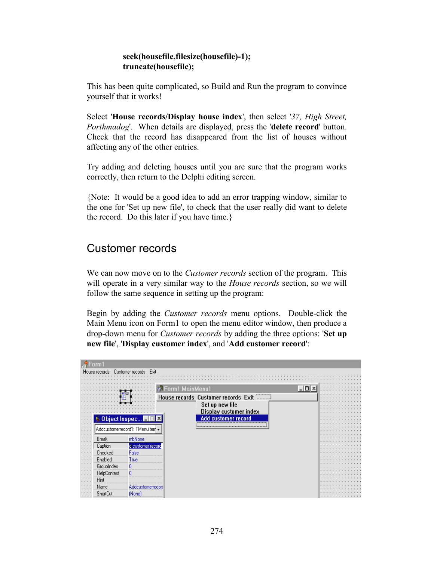### **seek(housefile,filesize(housefile)-1); truncate(housefile);**

This has been quite complicated, so Build and Run the program to convince yourself that it works!

Select '**House records/Display house index**', then select '*37, High Street, Porthmadog*'. When details are displayed, press the '**delete record**' button. Check that the record has disappeared from the list of houses without affecting any of the other entries.

Try adding and deleting houses until you are sure that the program works correctly, then return to the Delphi editing screen.

{Note: It would be a good idea to add an error trapping window, similar to the one for 'Set up new file', to check that the user really did want to delete the record. Do this later if you have time.}

### Customer records

We can now move on to the *Customer records* section of the program. This will operate in a very similar way to the *House records* section, so we will follow the same sequence in setting up the program:

Begin by adding the *Customer records* menu options. Double-click the Main Menu icon on Form1 to open the menu editor window, then produce a drop-down menu for *Customer records* by adding the three options: '**Set up new file**', '**Display customer index**', and '**Add customer record**':

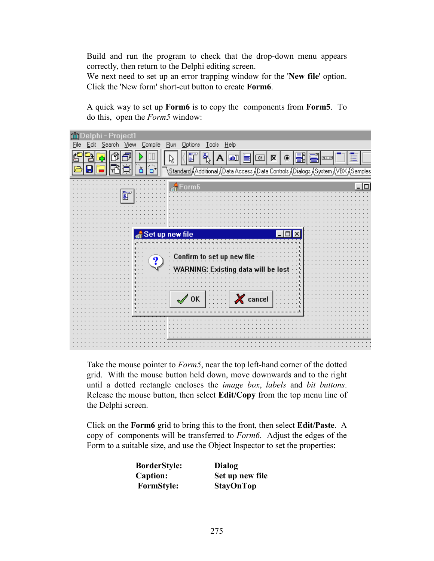Build and run the program to check that the drop-down menu appears correctly, then return to the Delphi editing screen.

We next need to set up an error trapping window for the '**New file**' option. Click the 'New form' short-cut button to create **Form6**.

A quick way to set up **Form6** is to copy the components from **Form5**. To do this, open the *Form5* window:

| <b>MDelphi</b> - Project1                                                                     |
|-----------------------------------------------------------------------------------------------|
| Compile<br>Run Options<br>$\overline{\text{Tools}}$<br>Help<br>View<br>Edit<br>Search<br>Eile |
| ı<br>$\ddot{\mathbb{F}}$<br>区<br>ab)<br>08<br>◉                                               |
| ،Standard √Additional √Data Access √Data Controls √Dialogs √System √VBX √Samples              |
|                                                                                               |
|                                                                                               |
|                                                                                               |
|                                                                                               |
|                                                                                               |
|                                                                                               |
| Set up new file                                                                               |
|                                                                                               |
|                                                                                               |
| Confirm to set up new file<br>?                                                               |
| WARNING: Existing data wi                                                                     |
|                                                                                               |
|                                                                                               |
|                                                                                               |
| $\chi$ cancel<br>$\mathscr{N}$ OK                                                             |
|                                                                                               |
|                                                                                               |
|                                                                                               |
|                                                                                               |
|                                                                                               |
|                                                                                               |

Take the mouse pointer to *Form5*, near the top left-hand corner of the dotted grid. With the mouse button held down, move downwards and to the right until a dotted rectangle encloses the *image box*, *labels* and *bit buttons*. Release the mouse button, then select **Edit/Copy** from the top menu line of the Delphi screen.

Click on the **Form6** grid to bring this to the front, then select **Edit/Paste**. A copy of components will be transferred to *Form6*. Adjust the edges of the Form to a suitable size, and use the Object Inspector to set the properties:

| <b>BorderStyle:</b> | Dialog           |
|---------------------|------------------|
| <b>Caption:</b>     | Set up new file  |
| <b>FormStyle:</b>   | <b>StayOnTop</b> |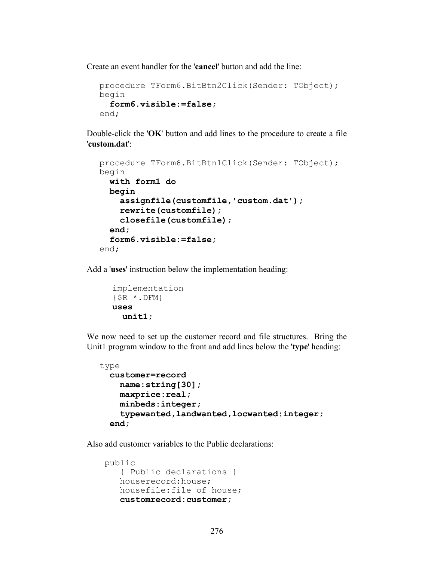Create an event handler for the '**cancel**' button and add the line:

```
procedure TForm6.BitBtn2Click(Sender: TObject);
begin
   form6.visible:=false;
end;
```
Double-click the '**OK**' button and add lines to the procedure to create a file '**custom.dat**':

```
procedure TForm6.BitBtn1Click(Sender: TObject);
begin
   with form1 do
   begin
     assignfile(customfile,'custom.dat');
     rewrite(customfile);
     closefile(customfile);
   end;
   form6.visible:=false;
end;
```
Add a '**uses**' instruction below the implementation heading:

```
implementation
\{\$R \star.DFM\}uses
   unit1;
```
We now need to set up the customer record and file structures. Bring the Unit1 program window to the front and add lines below the '**type**' heading:

```
type
  customer=record
     name:string[30];
     maxprice:real;
     minbeds:integer;
     typewanted,landwanted,locwanted:integer;
   end;
```
Also add customer variables to the Public declarations:

```
public
    { Public declarations }
    houserecord:house;
    housefile:file of house;
    customrecord:customer;
```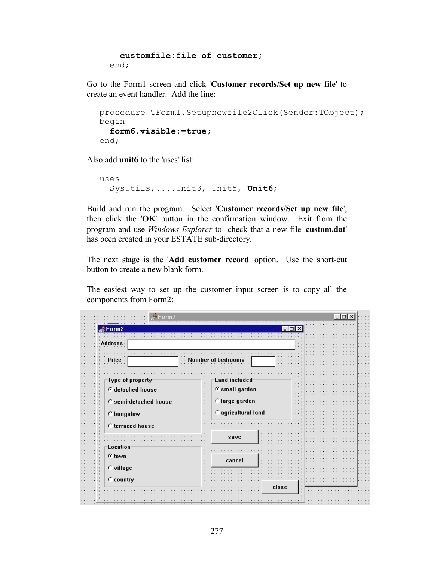```
 customfile:file of customer;
 end;
```
Go to the Form1 screen and click '**Customer records/Set up new file**' to create an event handler. Add the line:

```
procedure TForm1.Setupnewfile2Click(Sender:TObject);
begin
  form6.visible:=true;
end;
```
Also add **unit6** to the 'uses' list:

```
uses
   SysUtils,....Unit3, Unit5, Unit6;
```
Build and run the program. Select '**Customer records/Set up new file**', then click the '**OK**' button in the confirmation window. Exit from the program and use *Windows Explorer* to check that a new file '**custom.dat**' has been created in your ESTATE sub-directory.

The next stage is the '**Add customer record**' option. Use the short-cut button to create a new blank form.

The easiest way to set up the customer input screen is to copy all the components from Form2:

| Form <sub>2</sub>                                | г                                                                                                |  |  |  |  |  |  |
|--------------------------------------------------|--------------------------------------------------------------------------------------------------|--|--|--|--|--|--|
| ldress                                           |                                                                                                  |  |  |  |  |  |  |
| Price                                            | Number of bedrooms                                                                               |  |  |  |  |  |  |
| Type of property                                 | Land included<br>$\cdot$ .<br>$\cdot$ .<br>⊕ small garden                                        |  |  |  |  |  |  |
| <b>⊕</b> detached house<br>C semi-detached house | $\sim$<br>$\cdot$ .<br>$\cdot$ $\cdot$<br>C large garden<br>$\sim$<br>$\cdot$ .<br>$\sim$ $\sim$ |  |  |  |  |  |  |
| C bungalow                                       | $\sim$<br>C agricultural land<br>$\sim$ $\sim$<br>×.                                             |  |  |  |  |  |  |
| C terraced house                                 | save                                                                                             |  |  |  |  |  |  |
| Location<br>© town                               |                                                                                                  |  |  |  |  |  |  |
| C village                                        | cancel                                                                                           |  |  |  |  |  |  |
| C country                                        | close                                                                                            |  |  |  |  |  |  |
|                                                  |                                                                                                  |  |  |  |  |  |  |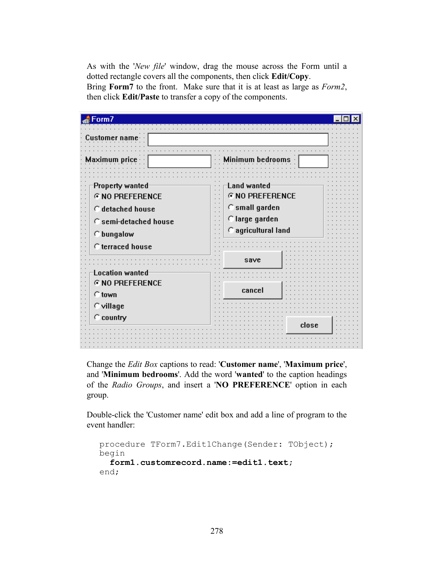As with the '*New file*' window, drag the mouse across the Form until a dotted rectangle covers all the components, then click **Edit/Copy**. Bring **Form7** to the front. Make sure that it is at least as large as *Form2*, then click **Edit/Paste** to transfer a copy of the components.

| Form7                                     |                                  |  |
|-------------------------------------------|----------------------------------|--|
| Customer name                             |                                  |  |
| Maximum orice                             | <b>Minimum bedrooms</b>          |  |
| Property wanted<br><b>G NO PREFERENCE</b> | Land wanted<br>© NO PREFERENCE   |  |
| C detached house<br>C semi-detached house | C small garden<br>C large garden |  |
| $\cap$ bungalow                           | C agricultural land              |  |
| C terraced house                          | save                             |  |
| Location wanted<br><b>G NO PREFERENCE</b> |                                  |  |
| $\cap$ town<br>$\subset$ village          | cancel                           |  |
| $\subset$ country                         | close                            |  |
|                                           |                                  |  |

Change the *Edit Box* captions to read: '**Customer name**', '**Maximum price**', and '**Minimum bedrooms**'. Add the word '**wanted**' to the caption headings of the *Radio Groups*, and insert a '**NO PREFERENCE**' option in each group.

Double-click the 'Customer name' edit box and add a line of program to the event handler:

```
procedure TForm7.Edit1Change(Sender: TObject);
begin
   form1.customrecord.name:=edit1.text;
end;
```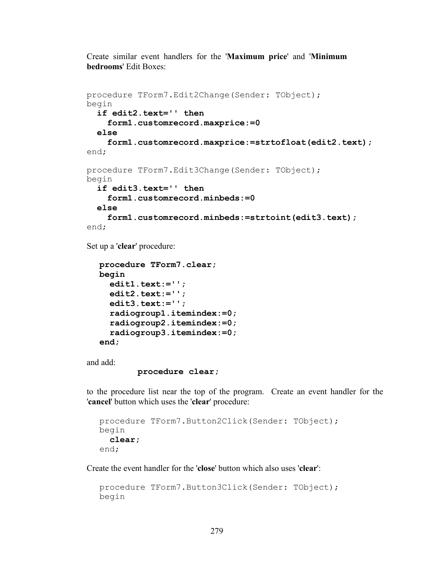Create similar event handlers for the '**Maximum price**' and '**Minimum bedrooms**' Edit Boxes:

```
procedure TForm7.Edit2Change(Sender: TObject);
begin
   if edit2.text='' then
     form1.customrecord.maxprice:=0
   else
     form1.customrecord.maxprice:=strtofloat(edit2.text);
end;
procedure TForm7.Edit3Change(Sender: TObject);
begin
   if edit3.text='' then
     form1.customrecord.minbeds:=0
   else
     form1.customrecord.minbeds:=strtoint(edit3.text);
end;
```
Set up a '**clear**' procedure:

```
procedure TForm7.clear;
begin
   edit1.text:='';
   edit2.text:='';
   edit3.text:='';
   radiogroup1.itemindex:=0;
   radiogroup2.itemindex:=0;
   radiogroup3.itemindex:=0;
end;
```
and add:

```
 procedure clear;
```
to the procedure list near the top of the program. Create an event handler for the '**cancel**' button which uses the '**clear**' procedure:

```
procedure TForm7.Button2Click(Sender: TObject);
begin
  clear;
end;
```
Create the event handler for the '**close**' button which also uses '**clear**':

```
procedure TForm7.Button3Click(Sender: TObject);
begin
```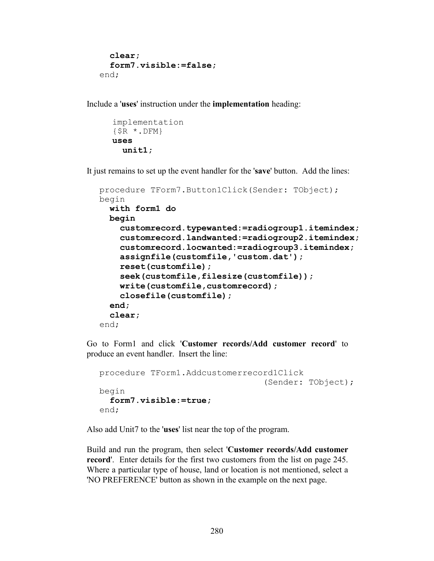```
clear;
   form7.visible:=false;
end;
```
Include a '**uses**' instruction under the **implementation** heading:

```
implementation
{$R *.DFM}
uses
   unit1;
```
It just remains to set up the event handler for the '**save**' button. Add the lines:

```
procedure TForm7.Button1Click(Sender: TObject);
begin
  with form1 do
   begin
     customrecord.typewanted:=radiogroup1.itemindex;
     customrecord.landwanted:=radiogroup2.itemindex;
     customrecord.locwanted:=radiogroup3.itemindex;
     assignfile(customfile,'custom.dat');
     reset(customfile);
     seek(customfile,filesize(customfile));
     write(customfile,customrecord);
     closefile(customfile);
   end;
   clear;
end;
```
Go to Form1 and click '**Customer records/Add customer record**' to produce an event handler. Insert the line:

```
procedure TForm1.Addcustomerrecord1Click
                                   (Sender: TObject);
begin
  form7.visible:=true;
end;
```
Also add Unit7 to the '**uses**' list near the top of the program.

Build and run the program, then select '**Customer records/Add customer record**'. Enter details for the first two customers from the list on page 245. Where a particular type of house, land or location is not mentioned, select a 'NO PREFERENCE' button as shown in the example on the next page.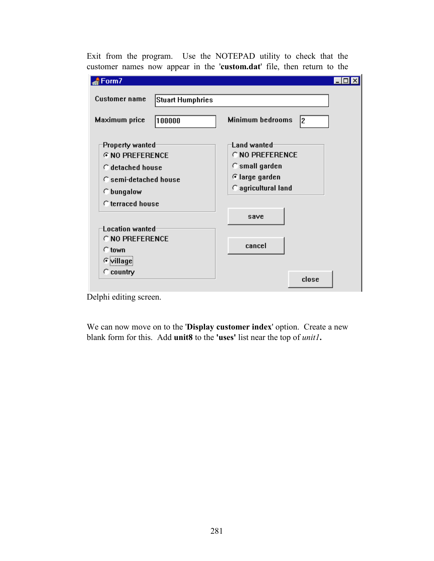Exit from the program. Use the NOTEPAD utility to check that the customer names now appear in the '**custom.dat**' file, then return to the

| Form7                                                                                                                                                                                     |                                                                                                                 |
|-------------------------------------------------------------------------------------------------------------------------------------------------------------------------------------------|-----------------------------------------------------------------------------------------------------------------|
| <b>Customer name</b><br><b>Stuart Humphries</b>                                                                                                                                           |                                                                                                                 |
| Maximum price<br>100000                                                                                                                                                                   | <b>Minimum bedrooms</b><br>12.                                                                                  |
| Property wanted<br><b>G NO PREFERENCE</b><br>C detached house<br>C semi-detached house<br>$\cap$ bungalow<br>C terraced house<br><b>Location wanted</b><br>C NO PREFERENCE<br>$\cap$ town | Land wanted<br>C NO PREFERENCE<br>$\cap$ small garden<br>⊕large garden<br>C agricultural land<br>save<br>cancel |
| <b>Cyillage</b><br>$\subset$ country                                                                                                                                                      | close                                                                                                           |

Delphi editing screen.

We can now move on to the '**Display customer index**' option. Create a new blank form for this. Add **unit8** to the **'uses'** list near the top of *unit1***.**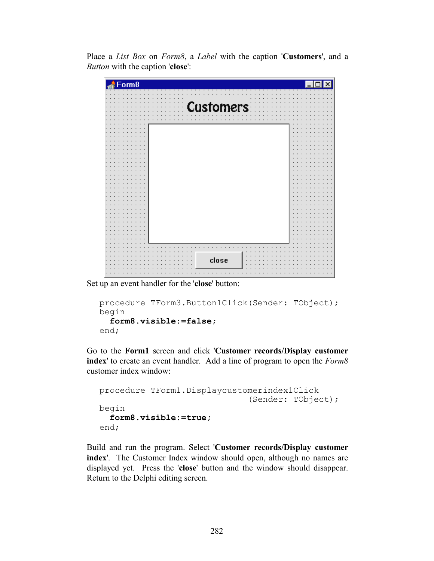Place a *List Box* on *Form8*, a *Label* with the caption '**Customers**', and a *Button* with the caption '**close**':

| Form8 |                  |
|-------|------------------|
|       |                  |
|       |                  |
|       | <b>Customers</b> |
|       |                  |
|       |                  |
|       |                  |
|       |                  |
|       |                  |
|       |                  |
|       |                  |
|       |                  |
|       |                  |
|       |                  |
|       |                  |
|       |                  |
|       |                  |
|       |                  |
|       |                  |
|       |                  |
|       |                  |
|       |                  |
|       |                  |
|       |                  |
|       |                  |
|       |                  |
|       |                  |
|       |                  |
|       |                  |
|       | close            |
|       |                  |
|       |                  |
|       |                  |

Set up an event handler for the '**close**' button:

```
procedure TForm3.Button1Click(Sender: TObject);
begin
  form8.visible:=false;
end;
```
Go to the **Form1** screen and click '**Customer records/Display customer index**' to create an event handler. Add a line of program to open the *Form8* customer index window:

```
procedure TForm1.Displaycustomerindex1Click
                               (Sender: TObject);
begin
   form8.visible:=true;
end;
```
Build and run the program. Select '**Customer records/Display customer index**'. The Customer Index window should open, although no names are displayed yet. Press the '**close**' button and the window should disappear. Return to the Delphi editing screen.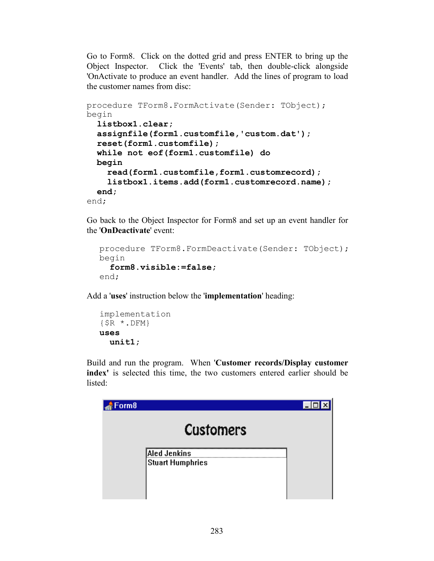Go to Form8. Click on the dotted grid and press ENTER to bring up the Object Inspector. Click the 'Events' tab, then double-click alongside 'OnActivate to produce an event handler. Add the lines of program to load the customer names from disc:

```
procedure TForm8.FormActivate(Sender: TObject);
begin
  listbox1.clear;
   assignfile(form1.customfile,'custom.dat');
   reset(form1.customfile);
   while not eof(form1.customfile) do
   begin
     read(form1.customfile,form1.customrecord);
     listbox1.items.add(form1.customrecord.name);
   end;
end;
```
Go back to the Object Inspector for Form8 and set up an event handler for the '**OnDeactivate**' event:

```
procedure TForm8.FormDeactivate(Sender: TObject);
begin
   form8.visible:=false;
end;
```
Add a '**uses**' instruction below the '**implementation**' heading:

```
implementation
{$R *.DFM}
uses
   unit1;
```
Build and run the program. When '**Customer records/Display customer index'** is selected this time, the two customers entered earlier should be listed:

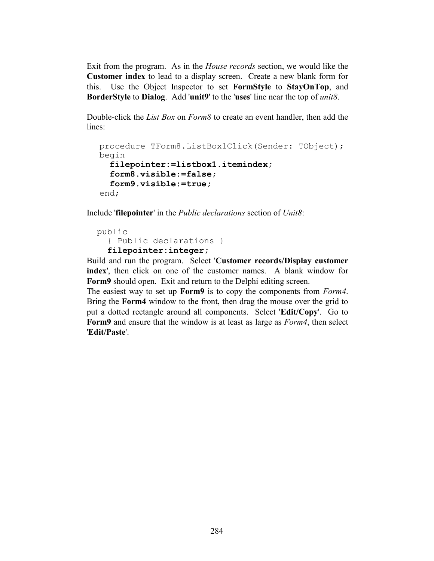Exit from the program. As in the *House records* section, we would like the **Customer index** to lead to a display screen. Create a new blank form for this. Use the Object Inspector to set **FormStyle** to **StayOnTop**, and **BorderStyle** to **Dialog**. Add '**unit9**' to the '**uses**' line near the top of *unit8*.

Double-click the *List Box* on *Form8* to create an event handler, then add the lines:

```
procedure TForm8.ListBox1Click(Sender: TObject);
begin
  filepointer:=listbox1.itemindex;
   form8.visible:=false;
   form9.visible:=true;
end;
```
Include '**filepointer**' in the *Public declarations* section of *Unit8*:

```
 public
   { Public declarations }
   filepointer:integer;
```
Build and run the program. Select '**Customer records/Display customer index**', then click on one of the customer names. A blank window for **Form9** should open. Exit and return to the Delphi editing screen.

The easiest way to set up **Form9** is to copy the components from *Form4*. Bring the **Form4** window to the front, then drag the mouse over the grid to put a dotted rectangle around all components. Select '**Edit/Copy**'. Go to **Form9** and ensure that the window is at least as large as *Form4*, then select '**Edit/Paste**'.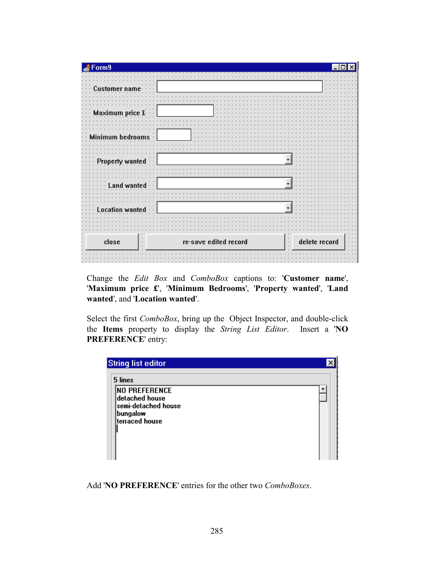| orm9          |                                  |               |
|---------------|----------------------------------|---------------|
|               |                                  |               |
|               |                                  |               |
|               |                                  |               |
| Ma<br>rice £∙ |                                  |               |
|               |                                  |               |
| bedrooms<br>м |                                  |               |
|               |                                  |               |
| Pı<br>wanted  |                                  |               |
|               |                                  |               |
|               |                                  |               |
|               |                                  |               |
|               |                                  |               |
|               |                                  |               |
| close         | re-save edited record<br>$\cdot$ | delete record |
|               |                                  |               |

Change the *Edit Box* and *ComboBox* captions to: '**Customer name**', '**Maximum price £**', '**Minimum Bedrooms**', '**Property wanted**', '**Land wanted**', and '**Location wanted**'.

Select the first *ComboBox*, bring up the Object Inspector, and double-click the **Items** property to display the *String List Editor*. Insert a '**NO PREFERENCE**' entry:

| 5 lines              |  |
|----------------------|--|
| <b>NO PREFERENCE</b> |  |
| detached house       |  |
| semi-detached house  |  |
| bungalow             |  |
| terraced house       |  |
|                      |  |
|                      |  |
|                      |  |
|                      |  |

Add '**NO PREFERENCE**' entries for the other two *ComboBoxes*.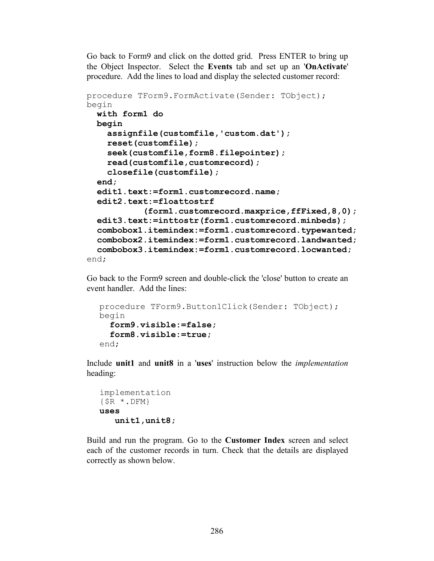Go back to Form9 and click on the dotted grid. Press ENTER to bring up the Object Inspector. Select the **Events** tab and set up an '**OnActivate**' procedure. Add the lines to load and display the selected customer record:

```
procedure TForm9.FormActivate(Sender: TObject);
begin
 with form1 do
  begin
     assignfile(customfile,'custom.dat');
     reset(customfile);
     seek(customfile,form8.filepointer);
     read(customfile,customrecord);
     closefile(customfile);
   end;
   edit1.text:=form1.customrecord.name;
   edit2.text:=floattostrf
            (form1.customrecord.maxprice,ffFixed,8,0);
   edit3.text:=inttostr(form1.customrecord.minbeds);
   combobox1.itemindex:=form1.customrecord.typewanted;
   combobox2.itemindex:=form1.customrecord.landwanted;
   combobox3.itemindex:=form1.customrecord.locwanted;
end;
```
Go back to the Form9 screen and double-click the 'close' button to create an event handler. Add the lines:

```
procedure TForm9.Button1Click(Sender: TObject);
begin
   form9.visible:=false;
   form8.visible:=true;
end;
```
Include **unit1** and **unit8** in a '**uses**' instruction below the *implementation* heading:

```
implementation
\{\$R \star.DFM\}uses
    unit1,unit8;
```
Build and run the program. Go to the **Customer Index** screen and select each of the customer records in turn. Check that the details are displayed correctly as shown below.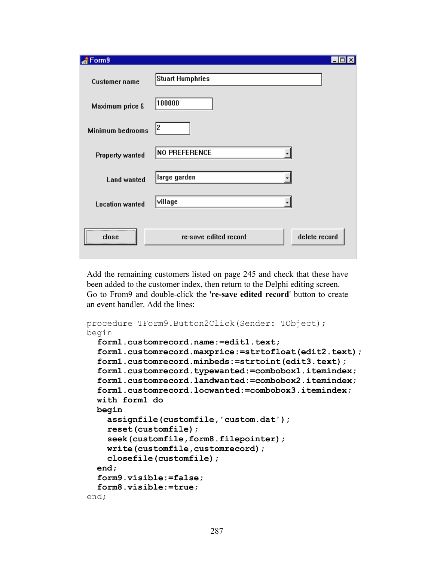| Form9                   |                                        |
|-------------------------|----------------------------------------|
| <b>Customer name</b>    | Stuart Humphries                       |
| Maximum price £         | 100000                                 |
| <b>Minimum bedrooms</b> | 2                                      |
| <b>Property wanted</b>  | <b>NO PREFERENCE</b>                   |
| <b>Land wanted</b>      | large garden                           |
| <b>Location wanted</b>  | village                                |
| close                   | delete record<br>re-save edited record |

Add the remaining customers listed on page 245 and check that these have been added to the customer index, then return to the Delphi editing screen. Go to From9 and double-click the '**re-save edited record**' button to create an event handler. Add the lines:

```
procedure TForm9.Button2Click(Sender: TObject);
begin
  form1.customrecord.name:=edit1.text;
   form1.customrecord.maxprice:=strtofloat(edit2.text);
   form1.customrecord.minbeds:=strtoint(edit3.text);
   form1.customrecord.typewanted:=combobox1.itemindex;
   form1.customrecord.landwanted:=combobox2.itemindex;
   form1.customrecord.locwanted:=combobox3.itemindex;
   with form1 do
  begin
     assignfile(customfile,'custom.dat');
     reset(customfile);
     seek(customfile,form8.filepointer);
     write(customfile,customrecord);
     closefile(customfile);
   end;
   form9.visible:=false;
   form8.visible:=true;
end;
```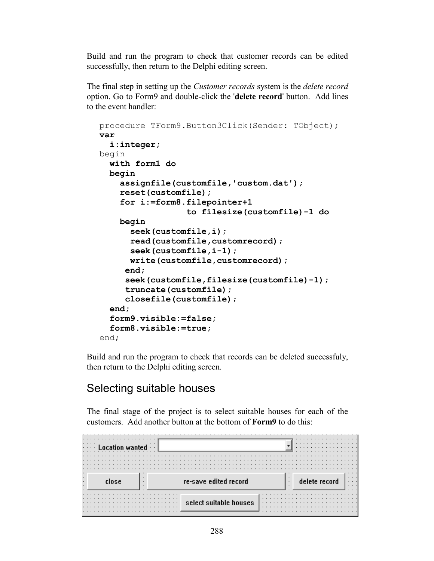Build and run the program to check that customer records can be edited successfully, then return to the Delphi editing screen.

The final step in setting up the *Customer records* system is the *delete record* option. Go to Form9 and double-click the '**delete record**' button. Add lines to the event handler:

```
procedure TForm9.Button3Click(Sender: TObject);
var
   i:integer;
begin
   with form1 do
   begin
     assignfile(customfile,'custom.dat');
     reset(customfile);
     for i:=form8.filepointer+1
                   to filesize(customfile)-1 do
     begin
       seek(customfile,i);
       read(customfile,customrecord);
       seek(customfile,i-1);
       write(customfile,customrecord);
      end;
      seek(customfile,filesize(customfile)-1);
      truncate(customfile);
      closefile(customfile);
   end;
   form9.visible:=false;
   form8.visible:=true;
end;
```
Build and run the program to check that records can be deleted successfuly, then return to the Delphi editing screen.

### Selecting suitable houses

The final stage of the project is to select suitable houses for each of the customers. Add another button at the bottom of **Form9** to do this:

|                                 |                        |              | .             |          |
|---------------------------------|------------------------|--------------|---------------|----------|
| .                               | $\cdots$               |              | .             |          |
| $\cdot$ $\cdot$ $\cdot$ $\cdot$ |                        |              | .             |          |
| .                               |                        |              | .             |          |
|                                 |                        |              |               |          |
|                                 |                        |              |               |          |
|                                 |                        |              |               |          |
|                                 |                        |              |               |          |
|                                 |                        |              |               |          |
|                                 |                        |              |               | $\cdots$ |
|                                 |                        |              |               | $\cdots$ |
|                                 | re-save edited record  |              | delete record | $\cdots$ |
|                                 |                        | $\mathbf{r}$ |               | $\cdots$ |
|                                 |                        |              |               |          |
|                                 |                        |              |               |          |
|                                 |                        |              |               |          |
|                                 |                        |              |               |          |
|                                 |                        |              |               |          |
|                                 | select suitable houses |              |               |          |
|                                 |                        |              |               |          |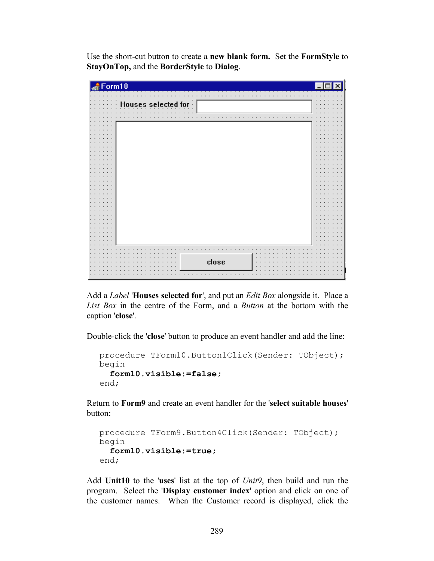Use the short-cut button to create a **new blank form.** Set the **FormStyle** to **StayOnTop,** and the **BorderStyle** to **Dialog**.

| Form10                      |  |
|-----------------------------|--|
|                             |  |
| Houses selected for $\cdot$ |  |
|                             |  |
|                             |  |
|                             |  |
|                             |  |
|                             |  |
|                             |  |
|                             |  |
|                             |  |
|                             |  |
|                             |  |
|                             |  |
|                             |  |
|                             |  |
|                             |  |
|                             |  |
|                             |  |
|                             |  |
|                             |  |
|                             |  |
|                             |  |
|                             |  |
|                             |  |
|                             |  |
|                             |  |
|                             |  |
|                             |  |
|                             |  |
|                             |  |
|                             |  |
| close                       |  |
|                             |  |
|                             |  |

Add a *Label* '**Houses selected for**', and put an *Edit Box* alongside it. Place a *List Box* in the centre of the Form, and a *Button* at the bottom with the caption '**close**'.

Double-click the '**close**' button to produce an event handler and add the line:

```
procedure TForm10.Button1Click(Sender: TObject);
begin
   form10.visible:=false;
end;
```
Return to **Form9** and create an event handler for the '**select suitable houses**' button:

```
procedure TForm9.Button4Click(Sender: TObject);
begin
   form10.visible:=true;
end;
```
Add **Unit10** to the '**uses**' list at the top of *Unit9*, then build and run the program. Select the '**Display customer index**' option and click on one of the customer names. When the Customer record is displayed, click the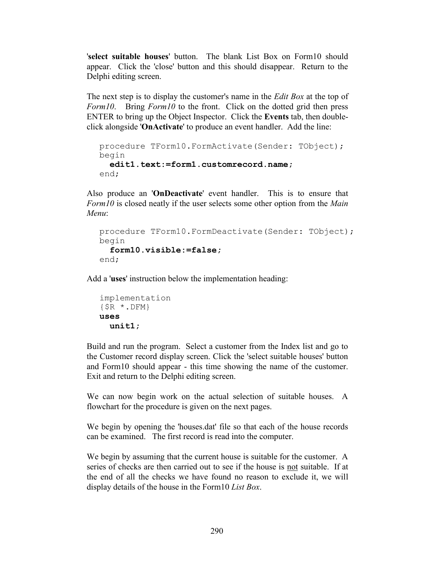'**select suitable houses**' button. The blank List Box on Form10 should appear. Click the 'close' button and this should disappear. Return to the Delphi editing screen.

The next step is to display the customer's name in the *Edit Box* at the top of *Form10*. Bring *Form10* to the front. Click on the dotted grid then press ENTER to bring up the Object Inspector. Click the **Events** tab, then doubleclick alongside '**OnActivate**' to produce an event handler. Add the line:

```
procedure TForm10.FormActivate(Sender: TObject);
begin
  edit1.text:=form1.customrecord.name;
end;
```
Also produce an '**OnDeactivate**' event handler. This is to ensure that *Form10* is closed neatly if the user selects some other option from the *Main Menu*:

```
procedure TForm10.FormDeactivate(Sender: TObject);
begin
   form10.visible:=false;
end;
```
Add a '**uses**' instruction below the implementation heading:

```
implementation
{$R *.DFM}
uses
   unit1;
```
Build and run the program. Select a customer from the Index list and go to the Customer record display screen. Click the 'select suitable houses' button and Form10 should appear - this time showing the name of the customer. Exit and return to the Delphi editing screen.

We can now begin work on the actual selection of suitable houses. A flowchart for the procedure is given on the next pages.

We begin by opening the 'houses.dat' file so that each of the house records can be examined. The first record is read into the computer.

We begin by assuming that the current house is suitable for the customer. A series of checks are then carried out to see if the house is not suitable. If at the end of all the checks we have found no reason to exclude it, we will display details of the house in the Form10 *List Box*.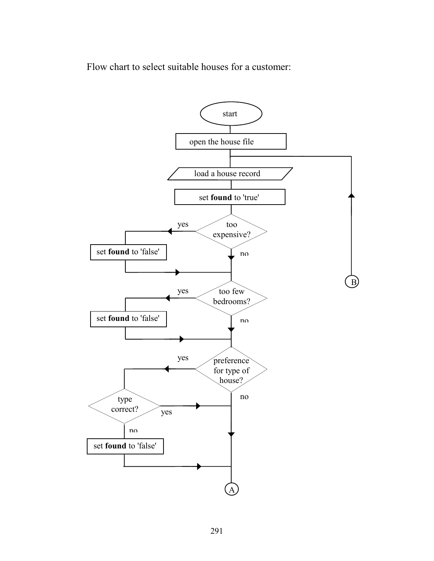Flow chart to select suitable houses for a customer:

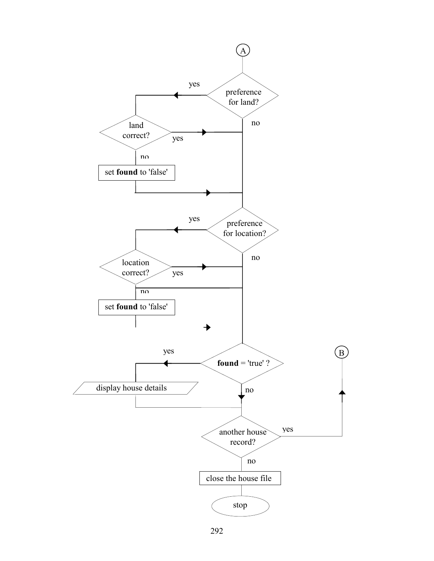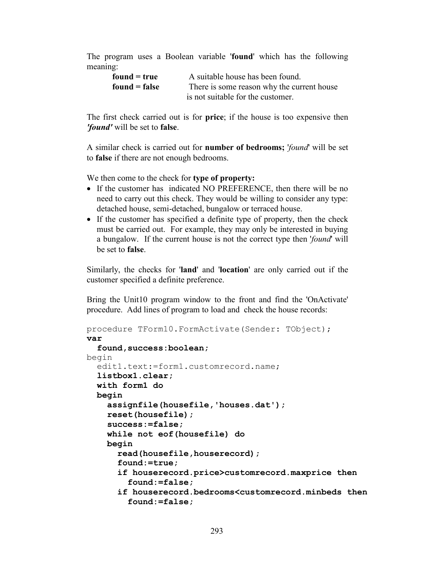The program uses a Boolean variable '**found**' which has the following meaning:

| $found = true$  | A suitable house has been found.           |
|-----------------|--------------------------------------------|
| $found = false$ | There is some reason why the current house |
|                 | is not suitable for the customer.          |

The first check carried out is for **price**; if the house is too expensive then *'found'* will be set to **false**.

A similar check is carried out for **number of bedrooms;** '*found*' will be set to **false** if there are not enough bedrooms.

We then come to the check for **type of property:**

- If the customer has indicated NO PREFERENCE, then there will be no need to carry out this check. They would be willing to consider any type: detached house, semi-detached, bungalow or terraced house.
- If the customer has specified a definite type of property, then the check must be carried out. For example, they may only be interested in buying a bungalow. If the current house is not the correct type then '*found*' will be set to **false**.

Similarly, the checks for '**land**' and '**location**' are only carried out if the customer specified a definite preference.

Bring the Unit10 program window to the front and find the 'OnActivate' procedure. Add lines of program to load and check the house records:

```
procedure TForm10.FormActivate(Sender: TObject);
var
  found, success: boolean;
begin
  edit1.text:=form1.customrecord.name;
   listbox1.clear;
   with form1 do
  begin
     assignfile(housefile,'houses.dat');
     reset(housefile);
     success:=false;
     while not eof(housefile) do
     begin
       read(housefile,houserecord);
       found:=true;
       if houserecord.price>customrecord.maxprice then
         found:=false;
       if houserecord.bedrooms<customrecord.minbeds then
         found:=false;
```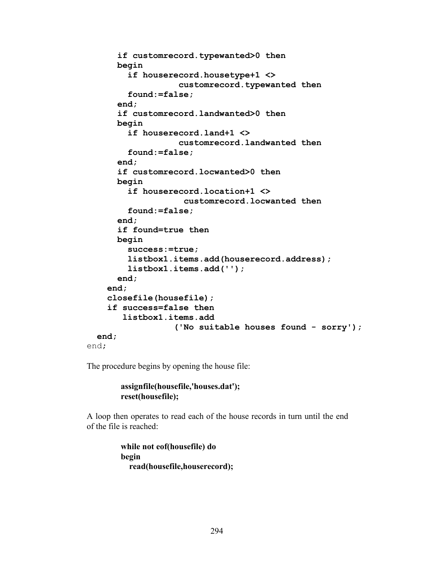```
 if customrecord.typewanted>0 then
       begin
         if houserecord.housetype+1 <> 
                    customrecord.typewanted then
         found:=false;
       end;
       if customrecord.landwanted>0 then
       begin
         if houserecord.land+1 <> 
                    customrecord.landwanted then
         found:=false;
       end;
       if customrecord.locwanted>0 then
       begin
         if houserecord.location+1 <>
                     customrecord.locwanted then
         found:=false;
       end;
       if found=true then
       begin
         success:=true;
         listbox1.items.add(houserecord.address);
         listbox1.items.add('');
       end;
     end;
     closefile(housefile);
     if success=false then
        listbox1.items.add
                   ('No suitable houses found - sorry');
   end;
end;
```
The procedure begins by opening the house file:

```
 assignfile(housefile,'houses.dat');
 reset(housefile);
```
A loop then operates to read each of the house records in turn until the end of the file is reached:

> **while not eof(housefile) do begin read(housefile,houserecord);**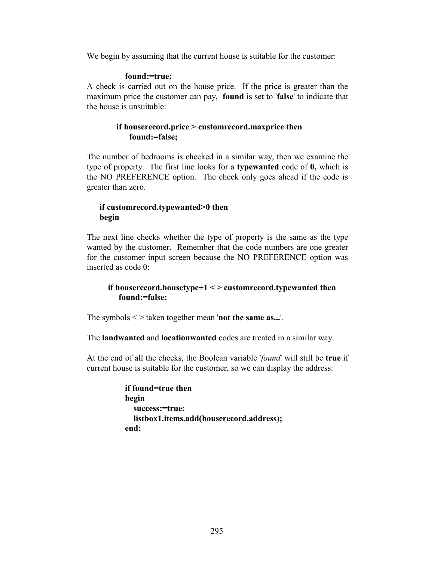We begin by assuming that the current house is suitable for the customer:

### **found:=true;**

A check is carried out on the house price. If the price is greater than the maximum price the customer can pay, **found** is set to '**false**' to indicate that the house is unsuitable:

### **if houserecord.price > customrecord.maxprice then found:=false;**

The number of bedrooms is checked in a similar way, then we examine the type of property. The first line looks for a **typewanted** code of **0,** which is the NO PREFERENCE option. The check only goes ahead if the code is greater than zero.

### **if customrecord.typewanted>0 then begin**

The next line checks whether the type of property is the same as the type wanted by the customer. Remember that the code numbers are one greater for the customer input screen because the NO PREFERENCE option was inserted as code 0:

### **if houserecord.housetype+1 < > customrecord.typewanted then found:=false;**

The symbols < > taken together mean '**not the same as...**'.

The **landwanted** and **locationwanted** codes are treated in a similar way.

At the end of all the checks, the Boolean variable '*found*' will still be **true** if current house is suitable for the customer, so we can display the address:

```
 if found=true then
 begin
   success:=true;
   listbox1.items.add(houserecord.address);
 end;
```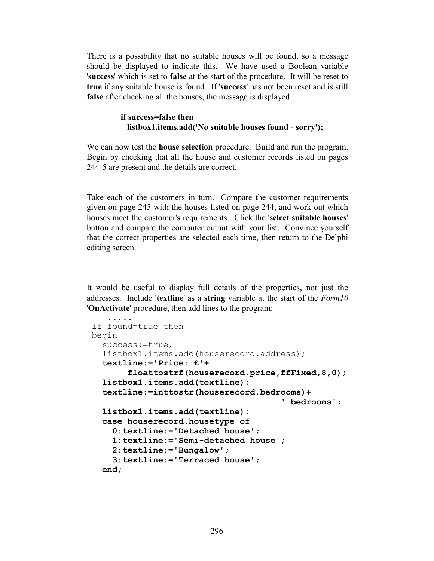There is a possibility that <u>no</u> suitable houses will be found, so a message should be displayed to indicate this. We have used a Boolean variable '**success**' which is set to **false** at the start of the procedure. It will be reset to **true** if any suitable house is found. If '**success**' has not been reset and is still **false** after checking all the houses, the message is displayed:

### **if success=false then listbox1.items.add('No suitable houses found - sorry');**

We can now test the **house selection** procedure. Build and run the program. Begin by checking that all the house and customer records listed on pages 244-5 are present and the details are correct.

Take each of the customers in turn. Compare the customer requirements given on page 245 with the houses listed on page 244, and work out which houses meet the customer's requirements. Click the '**select suitable houses**' button and compare the computer output with your list. Convince yourself that the correct properties are selected each time, then return to the Delphi editing screen.

It would be useful to display full details of the properties, not just the addresses. Include '**textline**' as a **string** variable at the start of the *Form10* '**OnActivate**' procedure, then add lines to the program:

```
 .....
 if found=true then
 begin
   success:=true;
   listbox1.items.add(houserecord.address); 
   textline:='Price: £'+
        floattostrf(houserecord.price,ffFixed,8,0);
   listbox1.items.add(textline);
   textline:=inttostr(houserecord.bedrooms)+
                                         ' bedrooms';
   listbox1.items.add(textline);
   case houserecord.housetype of
     0:textline:='Detached house';
     1:textline:='Semi-detached house';
     2:textline:='Bungalow';
     3:textline:='Terraced house';
   end;
```